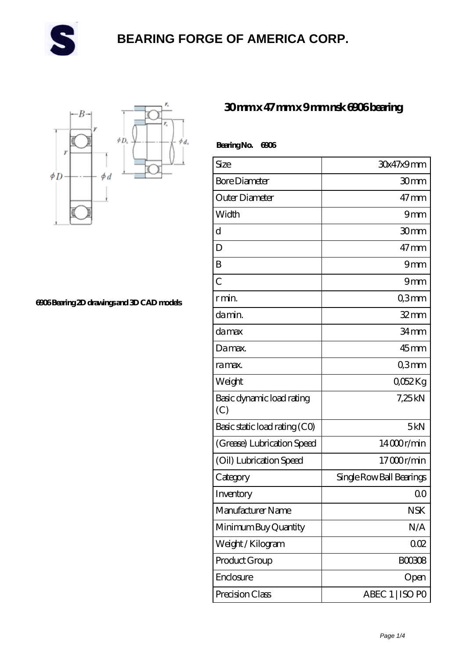



**[6906 Bearing 2D drawings and 3D CAD models](https://danwei.tv/pic-461194.html)**

#### **[30 mm x 47 mm x 9 mm nsk 6906 bearing](https://danwei.tv/nsk-6906-bearing/)**

| BearingNo.<br>6006               |                          |
|----------------------------------|--------------------------|
| Size                             | 30x47x9mm                |
| <b>Bore Diameter</b>             | 30 <sub>mm</sub>         |
| Outer Diameter                   | $47 \text{mm}$           |
| Width                            | 9mm                      |
| d                                | 30mm                     |
| D                                | $47 \text{mm}$           |
| B                                | 9mm                      |
| $\overline{C}$                   | 9mm                      |
| r min.                           | Q3mm                     |
| da min.                          | 32mm                     |
| damax                            | 34 mm                    |
| Damax.                           | $45$ mm                  |
| ra max.                          | Q3mm                     |
| Weight                           | 0052Kg                   |
| Basic dynamic load rating<br>(C) | 7,25kN                   |
| Basic static load rating (CO)    | 5kN                      |
| (Grease) Lubrication Speed       | 14000r/min               |
| (Oil) Lubrication Speed          | 17000r/min               |
| Category                         | Single Row Ball Bearings |
| Inventory                        | 0 <sub>0</sub>           |
| Manufacturer Name                | <b>NSK</b>               |
| Minimum Buy Quantity             | N/A                      |
| Weight/Kilogram                  | 002                      |
| Product Group                    | BOO3O8                   |
| Enclosure                        | Open                     |
| Precision Class                  | ABEC 1   ISO PO          |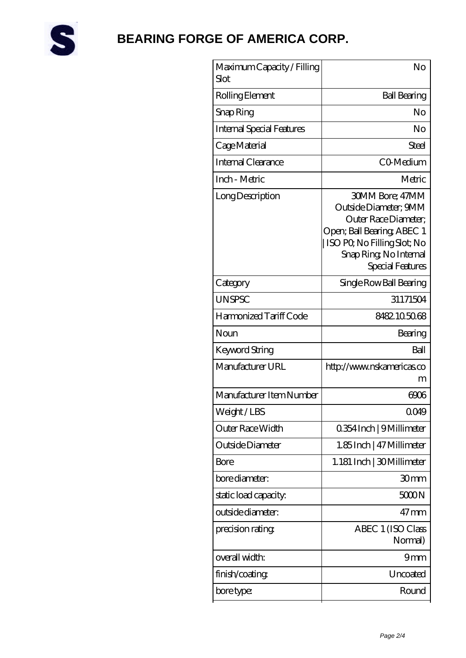

| Maximum Capacity / Filling<br>Slot | No                                                                                                                                                                                 |
|------------------------------------|------------------------------------------------------------------------------------------------------------------------------------------------------------------------------------|
| Rolling Element                    | <b>Ball Bearing</b>                                                                                                                                                                |
| Snap Ring                          | No                                                                                                                                                                                 |
| Internal Special Features          | No                                                                                                                                                                                 |
| Cage Material                      | Steel                                                                                                                                                                              |
| Internal Clearance                 | CO-Medium                                                                                                                                                                          |
| Inch - Metric                      | Metric                                                                                                                                                                             |
| Long Description                   | <b>30MM Bore: 47MM</b><br>Outside Diameter; 9MM<br>Outer Race Diameter:<br>Open; Ball Bearing; ABEC 1<br>ISO PO, No Filling Slot; No<br>Snap Ring, No Internal<br>Special Features |
| Category                           | Single Row Ball Bearing                                                                                                                                                            |
| <b>UNSPSC</b>                      | 31171504                                                                                                                                                                           |
| Harmonized Tariff Code             | 8482105068                                                                                                                                                                         |
| Noun                               | Bearing                                                                                                                                                                            |
| Keyword String                     | Ball                                                                                                                                                                               |
| Manufacturer URL                   | http://www.nskamericas.co<br>m                                                                                                                                                     |
| Manufacturer Item Number           | 6006                                                                                                                                                                               |
| Weight/LBS                         | 0049                                                                                                                                                                               |
| Outer Race Width                   | 0.354 Inch   9 Millimeter                                                                                                                                                          |
| Outside Diameter                   | 1.85Inch   47 Millimeter                                                                                                                                                           |
| Bore                               | 1.181 Inch   30Millimeter                                                                                                                                                          |
| bore diameter:                     | 30mm                                                                                                                                                                               |
| static load capacity:              | 5000N                                                                                                                                                                              |
| outside diameter:                  | $47 \,\mathrm{mm}$                                                                                                                                                                 |
| precision rating                   | ABEC 1 (ISO Class<br>Normal)                                                                                                                                                       |
| overall width:                     | 9mm                                                                                                                                                                                |
| finish/coating                     | Uncoated                                                                                                                                                                           |
| bore type:                         | Round                                                                                                                                                                              |
|                                    |                                                                                                                                                                                    |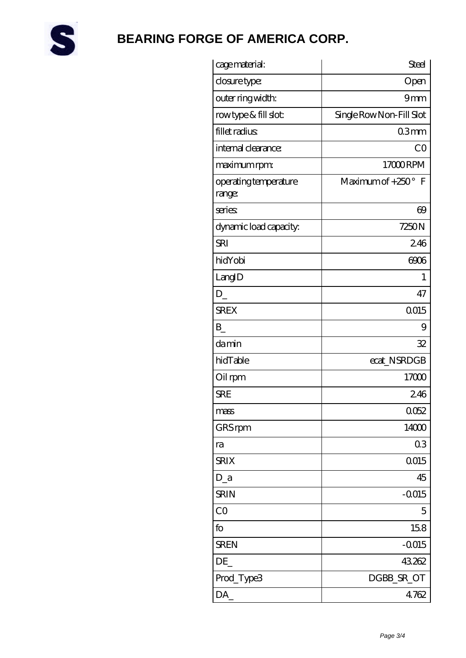

| cage material:                  | <b>Steel</b>             |
|---------------------------------|--------------------------|
| closure type:                   | Open                     |
| outer ring width:               | 9mm                      |
| rowtype & fill slot:            | Single Row Non-Fill Slot |
| fillet radius                   | 03mm                     |
| internal clearance:             | CO                       |
| maximum rpm:                    | 17000RPM                 |
| operating temperature<br>range: | Maximum of +250° F       |
| series                          | $\Theta$                 |
| dynamic load capacity.          | 7250N                    |
| <b>SRI</b>                      | 246                      |
| hidYobi                         | 6006                     |
| LangID                          | 1                        |
| $D_{-}$                         | 47                       |
| <b>SREX</b>                     | Q015                     |
| $B_{-}$                         | 9                        |
| damin                           | 32                       |
| hidTable                        | ecat_NSRDGB              |
| Oil rpm                         | 17000                    |
| <b>SRE</b>                      | 246                      |
| mass                            | 0052                     |
| GRS rpm                         | 14000                    |
| ra                              | 03                       |
| <b>SRIX</b>                     | 0015                     |
| $D_a$                           | 45                       |
| <b>SRIN</b>                     | $-0015$                  |
| CO                              | 5                        |
| fo                              | 158                      |
| <b>SREN</b>                     | $-0015$                  |
| DE                              | 43262                    |
| Prod_Type3                      | DGBB_SR_OT               |
| DA_                             | 4.762                    |